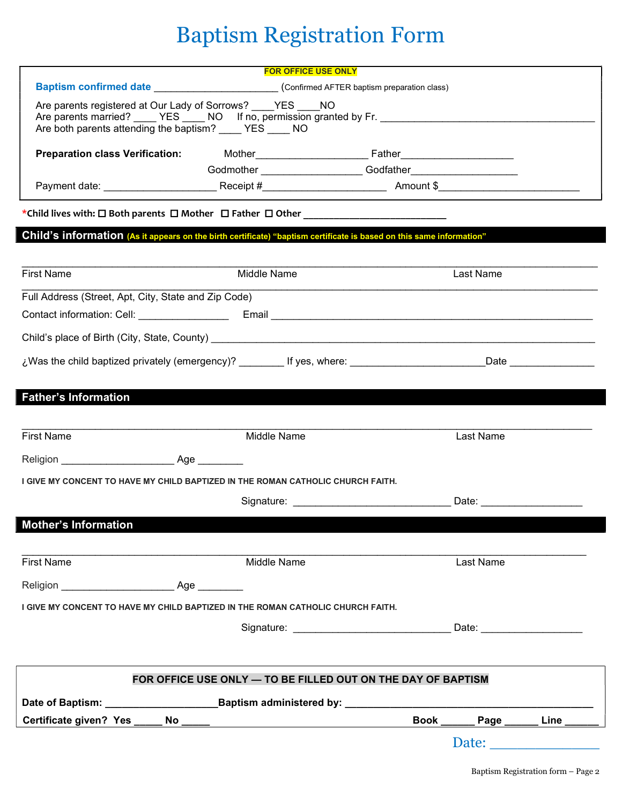# Baptism Registration Form

|                                                                                                                             | <b>FOR OFFICE USE ONLY</b>                                                                     |                                                                                                                 |                                                                                                                                                                                                                                |  |  |
|-----------------------------------------------------------------------------------------------------------------------------|------------------------------------------------------------------------------------------------|-----------------------------------------------------------------------------------------------------------------|--------------------------------------------------------------------------------------------------------------------------------------------------------------------------------------------------------------------------------|--|--|
|                                                                                                                             | Baptism confirmed date ____________________________(Confirmed AFTER baptism preparation class) |                                                                                                                 |                                                                                                                                                                                                                                |  |  |
| Are parents registered at Our Lady of Sorrows? ____ YES ____ NO<br>Are both parents attending the baptism? ____ YES ____ NO |                                                                                                | Are parents married? YES NO If no, permission granted by Fr.                                                    |                                                                                                                                                                                                                                |  |  |
|                                                                                                                             |                                                                                                | Preparation class Verification: Mother Mother Father Father Mother Burnell Mother Music States and Tables and T |                                                                                                                                                                                                                                |  |  |
|                                                                                                                             |                                                                                                |                                                                                                                 |                                                                                                                                                                                                                                |  |  |
|                                                                                                                             |                                                                                                |                                                                                                                 |                                                                                                                                                                                                                                |  |  |
|                                                                                                                             |                                                                                                |                                                                                                                 |                                                                                                                                                                                                                                |  |  |
| Child's information (As it appears on the birth certificate) "baptism certificate is based on this same information"        |                                                                                                |                                                                                                                 |                                                                                                                                                                                                                                |  |  |
| <b>First Name</b>                                                                                                           | Middle Name                                                                                    | Last Name                                                                                                       |                                                                                                                                                                                                                                |  |  |
|                                                                                                                             |                                                                                                |                                                                                                                 |                                                                                                                                                                                                                                |  |  |
| Full Address (Street, Apt, City, State and Zip Code)                                                                        |                                                                                                |                                                                                                                 |                                                                                                                                                                                                                                |  |  |
|                                                                                                                             |                                                                                                |                                                                                                                 |                                                                                                                                                                                                                                |  |  |
|                                                                                                                             |                                                                                                |                                                                                                                 |                                                                                                                                                                                                                                |  |  |
|                                                                                                                             |                                                                                                |                                                                                                                 |                                                                                                                                                                                                                                |  |  |
|                                                                                                                             |                                                                                                |                                                                                                                 |                                                                                                                                                                                                                                |  |  |
| <b>Father's Information</b>                                                                                                 |                                                                                                |                                                                                                                 |                                                                                                                                                                                                                                |  |  |
|                                                                                                                             |                                                                                                |                                                                                                                 |                                                                                                                                                                                                                                |  |  |
| <b>First Name</b>                                                                                                           | Middle Name                                                                                    | Last Name                                                                                                       |                                                                                                                                                                                                                                |  |  |
|                                                                                                                             |                                                                                                |                                                                                                                 |                                                                                                                                                                                                                                |  |  |
| I GIVE MY CONCENT TO HAVE MY CHILD BAPTIZED IN THE ROMAN CATHOLIC CHURCH FAITH.                                             |                                                                                                |                                                                                                                 |                                                                                                                                                                                                                                |  |  |
|                                                                                                                             |                                                                                                | Signature: Date: Date:                                                                                          |                                                                                                                                                                                                                                |  |  |
|                                                                                                                             |                                                                                                |                                                                                                                 |                                                                                                                                                                                                                                |  |  |
| <b>Mother's Information</b>                                                                                                 |                                                                                                |                                                                                                                 |                                                                                                                                                                                                                                |  |  |
|                                                                                                                             |                                                                                                |                                                                                                                 |                                                                                                                                                                                                                                |  |  |
| <b>First Name</b>                                                                                                           | Middle Name                                                                                    | Last Name                                                                                                       |                                                                                                                                                                                                                                |  |  |
| Religion Age                                                                                                                |                                                                                                |                                                                                                                 |                                                                                                                                                                                                                                |  |  |
| I GIVE MY CONCENT TO HAVE MY CHILD BAPTIZED IN THE ROMAN CATHOLIC CHURCH FAITH.                                             |                                                                                                |                                                                                                                 |                                                                                                                                                                                                                                |  |  |
|                                                                                                                             |                                                                                                |                                                                                                                 |                                                                                                                                                                                                                                |  |  |
|                                                                                                                             |                                                                                                |                                                                                                                 |                                                                                                                                                                                                                                |  |  |
| FOR OFFICE USE ONLY - TO BE FILLED OUT ON THE DAY OF BAPTISM                                                                |                                                                                                |                                                                                                                 |                                                                                                                                                                                                                                |  |  |
|                                                                                                                             |                                                                                                |                                                                                                                 |                                                                                                                                                                                                                                |  |  |
|                                                                                                                             |                                                                                                | Book _________ Page ________ Line _____                                                                         |                                                                                                                                                                                                                                |  |  |
|                                                                                                                             |                                                                                                |                                                                                                                 | Date: the contract of the contract of the contract of the contract of the contract of the contract of the contract of the contract of the contract of the contract of the contract of the contract of the contract of the cont |  |  |
|                                                                                                                             |                                                                                                |                                                                                                                 |                                                                                                                                                                                                                                |  |  |